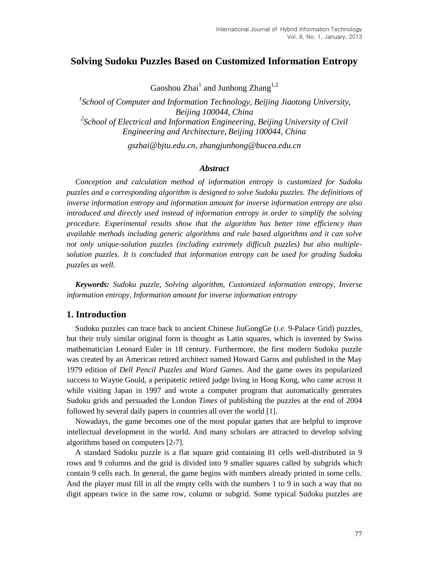# **Solving Sudoku Puzzles Based on Customized Information Entropy**

Gaoshou Zhai<sup>1</sup> and Junhong Zhang<sup>1,2</sup>

<sup>1</sup> School of Computer and Information Technology, Beijing Jiaotong University, *Beijing 100044, China* <sup>2</sup> School of Electrical and Information Engineering, Beijing University of Civil *Engineering and Architecture, Beijing 100044, China*

*gszhai@bjtu.edu.cn, zhangjunhong@bucea.edu.cn*

### *Abstract*

*Conception and calculation method of information entropy is customized for Sudoku puzzles and a corresponding algorithm is designed to solve Sudoku puzzles. The definitions of inverse information entropy and information amount for inverse information entropy are also introduced and directly used instead of information entropy in order to simplify the solving procedure. Experimental results show that the algorithm has better time efficiency than available methods including generic algorithms and rule based algorithms and it can solve not only unique-solution puzzles (including extremely difficult puzzles) but also multiplesolution puzzles. It is concluded that information entropy can be used for grading Sudoku puzzles as well.*

*Keywords: Sudoku puzzle, Solving algorithm, Customized information entropy, Inverse information entropy, Information amount for inverse information entropy*

## **1. Introduction**

Sudoku puzzles can trace back to ancient Chinese JiuGongGe (*i.e.* 9-Palace Grid) puzzles, but their truly similar original form is thought as Latin squares, which is invented by Swiss mathematician Leonard Euler in 18 century. Furthermore, the first modern Sudoku puzzle was created by an American retired architect named Howard Garns and published in the May 1979 edition of *Dell Pencil Puzzles and Word Games*. And the game owes its popularized success to Wayne Gould, a peripatetic retired judge living in Hong Kong, who came across it while visiting Japan in 1997 and wrote a computer program that automatically generates Sudoku grids and persuaded the London *Times* of publishing the puzzles at the end of 2004 followed by several daily papers in countries all over the world [1].

Nowadays, the game becomes one of the most popular games that are helpful to improve intellectual development in the world. And many scholars are attracted to develop solving algorithms based on computers [2-7].

A standard Sudoku puzzle is a flat square grid containing 81 cells well-distributed in 9 rows and 9 columns and the grid is divided into 9 smaller squares called by subgrids which contain 9 cells each. In general, the game begins with numbers already printed in some cells. And the player must fill in all the empty cells with the numbers 1 to 9 in such a way that no digit appears twice in the same row, column or subgrid. Some typical Sudoku puzzles are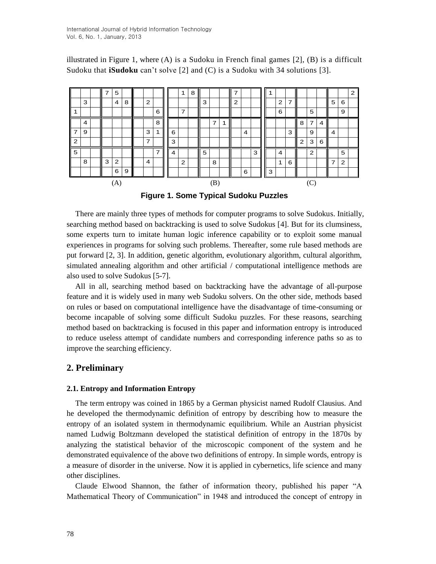illustrated in Figure 1, where  $(A)$  is a Sudoku in French final games  $[2]$ ,  $(B)$  is a difficult Sudoku that **iSudoku** can't solve [2] and (C) is a Sudoku with 34 solutions [3].



**Figure 1. Some Typical Sudoku Puzzles**

There are mainly three types of methods for computer programs to solve Sudokus. Initially, searching method based on backtracking is used to solve Sudokus [4]. But for its clumsiness, some experts turn to imitate human logic inference capability or to exploit some manual experiences in programs for solving such problems. Thereafter, some rule based methods are put forward [2, 3]. In addition, genetic algorithm, evolutionary algorithm, cultural algorithm, simulated annealing algorithm and other artificial / computational intelligence methods are also used to solve Sudokus [5-7].

All in all, searching method based on backtracking have the advantage of all-purpose feature and it is widely used in many web Sudoku solvers. On the other side, methods based on rules or based on computational intelligence have the disadvantage of time-consuming or become incapable of solving some difficult Sudoku puzzles. For these reasons, searching method based on backtracking is focused in this paper and information entropy is introduced to reduce useless attempt of candidate numbers and corresponding inference paths so as to improve the searching efficiency.

## **2. Preliminary**

### **2.1. Entropy and Information Entropy**

The term entropy was coined in 1865 by a German physicist named Rudolf Clausius. And he developed the thermodynamic definition of entropy by describing how to measure the entropy of an isolated system in thermodynamic equilibrium. While an Austrian physicist named Ludwig Boltzmann developed the statistical definition of entropy in the 1870s by analyzing the statistical behavior of the microscopic component of the system and he demonstrated equivalence of the above two definitions of entropy. In simple words, entropy is a measure of disorder in the universe. Now it is applied in cybernetics, life science and many other disciplines.

Claude Elwood Shannon, the father of information theory, published his paper "A Mathematical Theory of Communication" in 1948 and introduced the concept of entropy in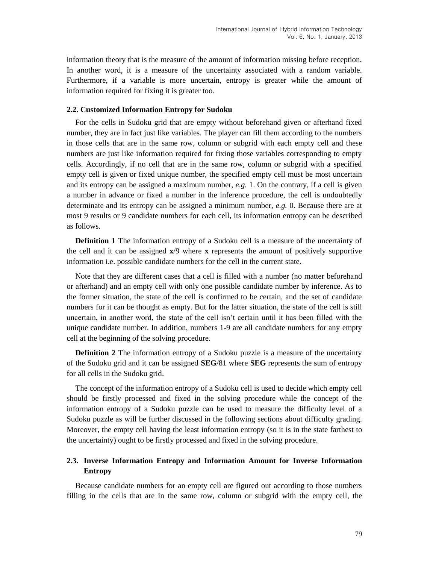information theory that is the measure of the amount of information missing before reception. In another word, it is a measure of the uncertainty associated with a random variable. Furthermore, if a variable is more uncertain, entropy is greater while the amount of information required for fixing it is greater too.

### **2.2. Customized Information Entropy for Sudoku**

For the cells in Sudoku grid that are empty without beforehand given or afterhand fixed number, they are in fact just like variables. The player can fill them according to the numbers in those cells that are in the same row, column or subgrid with each empty cell and these numbers are just like information required for fixing those variables corresponding to empty cells. Accordingly, if no cell that are in the same row, column or subgrid with a specified empty cell is given or fixed unique number, the specified empty cell must be most uncertain and its entropy can be assigned a maximum number, *e.g.* 1. On the contrary, if a cell is given a number in advance or fixed a number in the inference procedure, the cell is undoubtedly determinate and its entropy can be assigned a minimum number, *e.g.* 0. Because there are at most 9 results or 9 candidate numbers for each cell, its information entropy can be described as follows.

**Definition 1** The information entropy of a Sudoku cell is a measure of the uncertainty of the cell and it can be assigned **x**/9 where **x** represents the amount of positively supportive information i.e. possible candidate numbers for the cell in the current state.

Note that they are different cases that a cell is filled with a number (no matter beforehand or afterhand) and an empty cell with only one possible candidate number by inference. As to the former situation, the state of the cell is confirmed to be certain, and the set of candidate numbers for it can be thought as empty. But for the latter situation, the state of the cell is still uncertain, in another word, the state of the cell isn't certain until it has been filled with the unique candidate number. In addition, numbers 1-9 are all candidate numbers for any empty cell at the beginning of the solving procedure.

**Definition 2** The information entropy of a Sudoku puzzle is a measure of the uncertainty of the Sudoku grid and it can be assigned **SEG**/81 where **SEG** represents the sum of entropy for all cells in the Sudoku grid.

The concept of the information entropy of a Sudoku cell is used to decide which empty cell should be firstly processed and fixed in the solving procedure while the concept of the information entropy of a Sudoku puzzle can be used to measure the difficulty level of a Sudoku puzzle as will be further discussed in the following sections about difficulty grading. Moreover, the empty cell having the least information entropy (so it is in the state farthest to the uncertainty) ought to be firstly processed and fixed in the solving procedure.

## **2.3. Inverse Information Entropy and Information Amount for Inverse Information Entropy**

Because candidate numbers for an empty cell are figured out according to those numbers filling in the cells that are in the same row, column or subgrid with the empty cell, the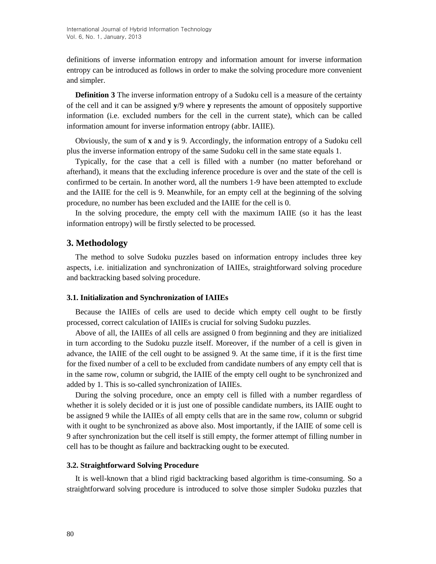definitions of inverse information entropy and information amount for inverse information entropy can be introduced as follows in order to make the solving procedure more convenient and simpler.

**Definition 3** The inverse information entropy of a Sudoku cell is a measure of the certainty of the cell and it can be assigned **y**/9 where **y** represents the amount of oppositely supportive information (i.e. excluded numbers for the cell in the current state), which can be called information amount for inverse information entropy (abbr. IAIIE).

Obviously, the sum of **x** and **y** is 9. Accordingly, the information entropy of a Sudoku cell plus the inverse information entropy of the same Sudoku cell in the same state equals 1.

Typically, for the case that a cell is filled with a number (no matter beforehand or afterhand), it means that the excluding inference procedure is over and the state of the cell is confirmed to be certain. In another word, all the numbers 1-9 have been attempted to exclude and the IAIIE for the cell is 9. Meanwhile, for an empty cell at the beginning of the solving procedure, no number has been excluded and the IAIIE for the cell is 0.

In the solving procedure, the empty cell with the maximum IAIIE (so it has the least information entropy) will be firstly selected to be processed.

### **3. Methodology**

The method to solve Sudoku puzzles based on information entropy includes three key aspects, i.e. initialization and synchronization of IAIIEs, straightforward solving procedure and backtracking based solving procedure.

#### **3.1. Initialization and Synchronization of IAIIEs**

Because the IAIIEs of cells are used to decide which empty cell ought to be firstly processed, correct calculation of IAIIEs is crucial for solving Sudoku puzzles.

Above of all, the IAIIEs of all cells are assigned 0 from beginning and they are initialized in turn according to the Sudoku puzzle itself. Moreover, if the number of a cell is given in advance, the IAIIE of the cell ought to be assigned 9. At the same time, if it is the first time for the fixed number of a cell to be excluded from candidate numbers of any empty cell that is in the same row, column or subgrid, the IAIIE of the empty cell ought to be synchronized and added by 1. This is so-called synchronization of IAIIEs.

During the solving procedure, once an empty cell is filled with a number regardless of whether it is solely decided or it is just one of possible candidate numbers, its IAIIE ought to be assigned 9 while the IAIIEs of all empty cells that are in the same row, column or subgrid with it ought to be synchronized as above also. Most importantly, if the IAIIE of some cell is 9 after synchronization but the cell itself is still empty, the former attempt of filling number in cell has to be thought as failure and backtracking ought to be executed.

#### **3.2. Straightforward Solving Procedure**

It is well-known that a blind rigid backtracking based algorithm is time-consuming. So a straightforward solving procedure is introduced to solve those simpler Sudoku puzzles that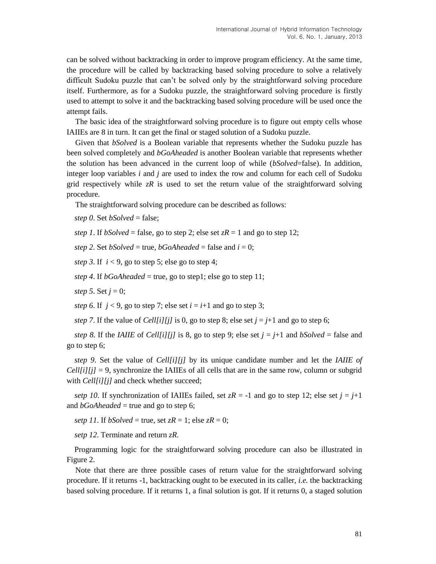can be solved without backtracking in order to improve program efficiency. At the same time, the procedure will be called by backtracking based solving procedure to solve a relatively difficult Sudoku puzzle that can't be solved only by the straightforward solving procedure itself. Furthermore, as for a Sudoku puzzle, the straightforward solving procedure is firstly used to attempt to solve it and the backtracking based solving procedure will be used once the attempt fails.

The basic idea of the straightforward solving procedure is to figure out empty cells whose IAIIEs are 8 in turn. It can get the final or staged solution of a Sudoku puzzle.

Given that *bSolved* is a Boolean variable that represents whether the Sudoku puzzle has been solved completely and *bGoAheaded* is another Boolean variable that represents whether the solution has been advanced in the current loop of while (*bSolved*=false). In addition, integer loop variables *i* and *j* are used to index the row and column for each cell of Sudoku grid respectively while  $zR$  is used to set the return value of the straightforward solving procedure.

The straightforward solving procedure can be described as follows:

*step 0*. Set *bSolved* = false;

*step 1*. If *bSolved* = false, go to step 2; else set  $zR = 1$  and go to step 12;

*step* 2. Set *bSolved* = true, *bGoAheaded* = false and  $i = 0$ ;

*step* 3. If  $i < 9$ , go to step 5; else go to step 4;

*step 4.* If *bGoAheaded* = true, go to step1; else go to step 11;

*step* 5. Set  $j = 0$ ;

*step* 6. If  $j < 9$ , go to step 7; else set  $i = i+1$  and go to step 3;

*step* 7. If the value of *Cell[i][j]* is 0, go to step 8; else set  $j = j+1$  and go to step 6;

*step 8*. If the *IAIIE* of *Cell[i][j]* is 8, go to step 9; else set  $j = j+1$  and *bSolved* = false and go to step 6;

*step 9*. Set the value of *Cell[i][j]* by its unique candidate number and let the *IAIIE of*   $Cell[i][j] = 9$ , synchronize the IAIIEs of all cells that are in the same row, column or subgrid with *Cell[i][j]* and check whether succeed;

*setp 10*. If synchronization of IAIIEs failed, set  $zR = -1$  and go to step 12; else set  $j = j+1$ and  $bGoAheaded = true$  and go to step 6;

*setp 11*. If *bSolved* = true, set  $zR = 1$ ; else  $zR = 0$ ;

*setp 12*. Terminate and return *zR*.

Programming logic for the straightforward solving procedure can also be illustrated in Figure 2.

Note that there are three possible cases of return value for the straightforward solving procedure. If it returns -1, backtracking ought to be executed in its caller, *i.e.* the backtracking based solving procedure. If it returns 1, a final solution is got. If it returns 0, a staged solution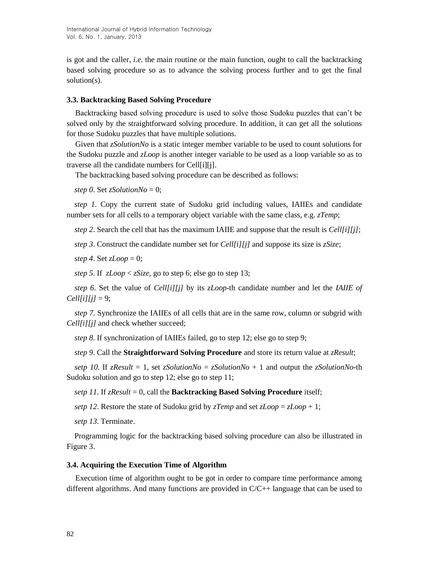is got and the caller, *i.e.* the main routine or the main function, ought to call the backtracking based solving procedure so as to advance the solving process further and to get the final solution(s).

### **3.3. Backtracking Based Solving Procedure**

Backtracking based solving procedure is used to solve those Sudoku puzzles that can't be solved only by the straightforward solving procedure. In addition, it can get all the solutions for those Sudoku puzzles that have multiple solutions.

Given that *zSolutionNo* is a static integer member variable to be used to count solutions for the Sudoku puzzle and *zLoop* is another integer variable to be used as a loop variable so as to traverse all the candidate numbers for Cell[i][j].

The backtracking based solving procedure can be described as follows:

*step 0.* Set *zSolutionNo* = 0;

*step 1*. Copy the current state of Sudoku grid including values, IAIIEs and candidate number sets for all cells to a temporary object variable with the same class, e.g. *zTemp*;

*step 2*. Search the cell that has the maximum IAIIE and suppose that the result is *Cell[i][j]*;

*step 3*. Construct the candidate number set for *Cell[i][j]* and suppose its size is *zSize*;

*step 4*. Set *zLoop* = 0;

*step 5*. If *zLoop* < *zSize*, go to step 6; else go to step 13;

*step 6*. Set the value of *Cell[i][j]* by its *zLoop*-th candidate number and let the *IAIIE of*   $Cell[i][j] = 9;$ 

*step 7*. Synchronize the IAIIEs of all cells that are in the same row, column or subgrid with *Cell[i][j]* and check whether succeed;

*step 8*. If synchronization of IAIIEs failed, go to step 12; else go to step 9;

*step 9*. Call the **Straightforward Solving Procedure** and store its return value at *zResult*;

*setp 10*. If *zResult* = 1, set *zSolutionNo* = *zSolutionNo* + 1 and output the *zSolutionNo*-th Sudoku solution and go to step 12; else go to step 11;

*setp 11*. If *zResult* = 0, call the **Backtracking Based Solving Procedure** itself;

*setp 12*. Restore the state of Sudoku grid by *zTemp* and set *zLoop* = *zLoop* + 1;

*setp 13*. Terminate.

Programming logic for the backtracking based solving procedure can also be illustrated in Figure 3.

#### **3.4. Acquiring the Execution Time of Algorithm**

Execution time of algorithm ought to be got in order to compare time performance among different algorithms. And many functions are provided in  $C/C++$  language that can be used to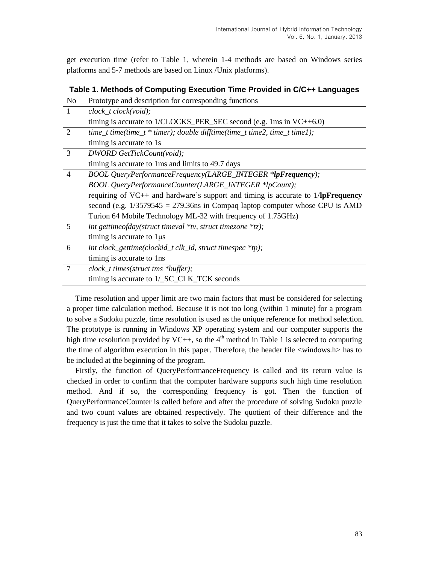get execution time (refer to Table 1, wherein 1-4 methods are based on Windows series platforms and 5-7 methods are based on Linux /Unix platforms).

| No             | Prototype and description for corresponding functions                                            |
|----------------|--------------------------------------------------------------------------------------------------|
| $\mathbf{1}$   | $clock\_t clock(void);$                                                                          |
|                | timing is accurate to $1/CLOCKS$ PER SEC second (e.g. 1ms in $VC++6.0$ )                         |
| $\overline{2}$ | time_t time(time_t * timer); double difftime(time_t time2, time_t time1);                        |
|                | timing is accurate to 1s                                                                         |
| 3              | DWORD GetTickCount(void);                                                                        |
|                | timing is accurate to 1 ms and limits to 49.7 days                                               |
| $\overline{4}$ | BOOL QueryPerformanceFrequency(LARGE_INTEGER *lpFrequency);                                      |
|                | BOOL QueryPerformanceCounter(LARGE_INTEGER *lpCount);                                            |
|                | requiring of VC++ and hardware's support and timing is accurate to $1/\sqrt{pF}$ <b>requency</b> |
|                | second (e.g. $1/3579545 = 279.36$ ns in Compaq laptop computer whose CPU is AMD                  |
|                | Turion 64 Mobile Technology ML-32 with frequency of 1.75GHz)                                     |
| 5              | int gettimeofday(struct timeval $*$ tv, struct timezone $*$ tz);                                 |
|                | timing is accurate to $1\mu s$                                                                   |
| 6              | int clock_gettime(clockid_t clk_id, struct timespec *tp);                                        |
|                | timing is accurate to 1ns                                                                        |
| $\overline{7}$ | clock_t times(struct tms *buffer);                                                               |
|                | timing is accurate to 1/_SC_CLK_TCK seconds                                                      |

Time resolution and upper limit are two main factors that must be considered for selecting a proper time calculation method. Because it is not too long (within 1 minute) for a program to solve a Sudoku puzzle, time resolution is used as the unique reference for method selection. The prototype is running in Windows XP operating system and our computer supports the high time resolution provided by  $VC++$ , so the 4<sup>th</sup> method in Table 1 is selected to computing the time of algorithm execution in this paper. Therefore, the header file <windows.h> has to be included at the beginning of the program.

Firstly, the function of QueryPerformanceFrequency is called and its return value is checked in order to confirm that the computer hardware supports such high time resolution method. And if so, the corresponding frequency is got. Then the function of QueryPerformanceCounter is called before and after the procedure of solving Sudoku puzzle and two count values are obtained respectively. The quotient of their difference and the frequency is just the time that it takes to solve the Sudoku puzzle.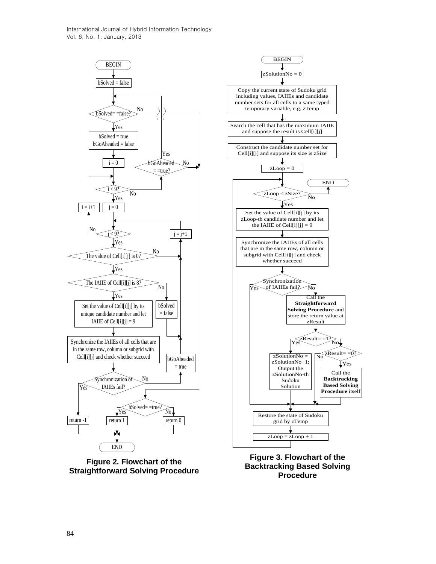International Journal of Hybrid Information Technology Vol. 6, No. 1, January, 2013



**Figure 2. Flowchart of the Straightforward Solving Procedure**



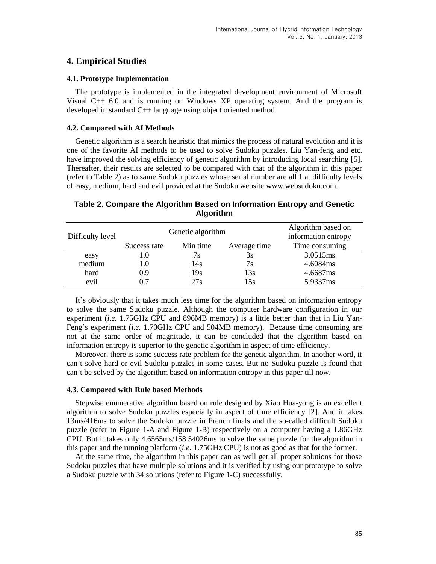## **4. Empirical Studies**

### **4.1. Prototype Implementation**

The prototype is implemented in the integrated development environment of Microsoft Visual C++ 6.0 and is running on Windows XP operating system. And the program is developed in standard C++ language using object oriented method.

### **4.2. Compared with AI Methods**

Genetic algorithm is a search heuristic that mimics the process of natural evolution and it is one of the favorite AI methods to be used to solve Sudoku puzzles. Liu Yan-feng and etc. have improved the solving efficiency of genetic algorithm by introducing local searching [5]. Thereafter, their results are selected to be compared with that of the algorithm in this paper (refer to Table 2) as to same Sudoku puzzles whose serial number are all 1 at difficulty levels of easy, medium, hard and evil provided at the Sudoku website www.websudoku.com.

| Difficulty level |              | Genetic algorithm | Algorithm based on<br>information entropy |                |  |
|------------------|--------------|-------------------|-------------------------------------------|----------------|--|
|                  | Success rate | Min time          | Average time                              | Time consuming |  |
| easy             | LO.          | 7s                | 3s                                        | 3.0515ms       |  |
| medium           | 1.0          | 14s               | 7s                                        | 4.6084ms       |  |
| hard             | 0.9          | 19s               | 13s                                       | 4.6687ms       |  |
| evil             | 0.7          | 27s               | 15s                                       | 5.9337ms       |  |

### **Table 2. Compare the Algorithm Based on Information Entropy and Genetic Algorithm**

It's obviously that it takes much less time for the algorithm based on information entropy to solve the same Sudoku puzzle. Although the computer hardware configuration in our experiment (*i.e.* 1.75GHz CPU and 896MB memory) is a little better than that in Liu Yan-Feng's experiment (*i.e.* 1.70GHz CPU and 504MB memory). Because time consuming are not at the same order of magnitude, it can be concluded that the algorithm based on information entropy is superior to the genetic algorithm in aspect of time efficiency.

Moreover, there is some success rate problem for the genetic algorithm. In another word, it can't solve hard or evil Sudoku puzzles in some cases. But no Sudoku puzzle is found that can't be solved by the algorithm based on information entropy in this paper till now.

#### **4.3. Compared with Rule based Methods**

Stepwise enumerative algorithm based on rule designed by Xiao Hua-yong is an excellent algorithm to solve Sudoku puzzles especially in aspect of time efficiency [2]. And it takes 13ms/416ms to solve the Sudoku puzzle in French finals and the so-called difficult Sudoku puzzle (refer to Figure 1-A and Figure 1-B) respectively on a computer having a 1.86GHz CPU. But it takes only 4.6565ms/158.54026ms to solve the same puzzle for the algorithm in this paper and the running platform (*i.e.* 1.75GHz CPU) is not as good as that for the former.

At the same time, the algorithm in this paper can as well get all proper solutions for those Sudoku puzzles that have multiple solutions and it is verified by using our prototype to solve a Sudoku puzzle with 34 solutions (refer to Figure 1-C) successfully.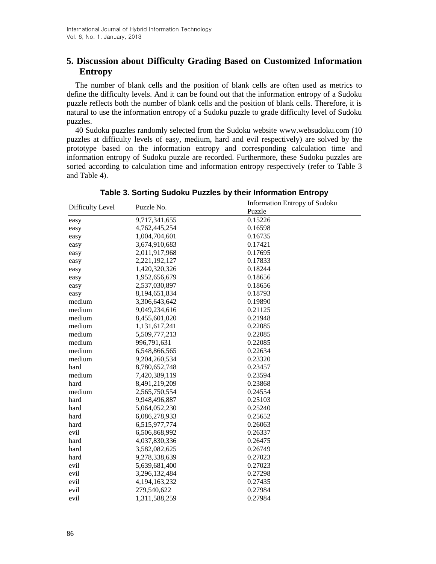# **5. Discussion about Difficulty Grading Based on Customized Information Entropy**

The number of blank cells and the position of blank cells are often used as metrics to define the difficulty levels. And it can be found out that the information entropy of a Sudoku puzzle reflects both the number of blank cells and the position of blank cells. Therefore, it is natural to use the information entropy of a Sudoku puzzle to grade difficulty level of Sudoku puzzles.

40 Sudoku puzzles randomly selected from the Sudoku website www.websudoku.com (10 puzzles at difficulty levels of easy, medium, hard and evil respectively) are solved by the prototype based on the information entropy and corresponding calculation time and information entropy of Sudoku puzzle are recorded. Furthermore, these Sudoku puzzles are sorted according to calculation time and information entropy respectively (refer to Table 3 and Table 4).

|                  | Puzzle No.       | <b>Information Entropy of Sudoku</b> |
|------------------|------------------|--------------------------------------|
| Difficulty Level |                  | Puzzle                               |
| easy             | 9,717,341,655    | 0.15226                              |
| easy             | 4,762,445,254    | 0.16598                              |
| easy             | 1,004,704,601    | 0.16735                              |
| easy             | 3,674,910,683    | 0.17421                              |
| easy             | 2,011,917,968    | 0.17695                              |
| easy             | 2,221,192,127    | 0.17833                              |
| easy             | 1,420,320,326    | 0.18244                              |
| easy             | 1,952,656,679    | 0.18656                              |
| easy             | 2,537,030,897    | 0.18656                              |
| easy             | 8,194,651,834    | 0.18793                              |
| medium           | 3,306,643,642    | 0.19890                              |
| medium           | 9,049,234,616    | 0.21125                              |
| medium           | 8,455,601,020    | 0.21948                              |
| medium           | 1,131,617,241    | 0.22085                              |
| medium           | 5,509,777,213    | 0.22085                              |
| medium           | 996,791,631      | 0.22085                              |
| medium           | 6,548,866,565    | 0.22634                              |
| medium           | 9,204,260,534    | 0.23320                              |
| hard             | 8,780,652,748    | 0.23457                              |
| medium           | 7,420,389,119    | 0.23594                              |
| hard             | 8,491,219,209    | 0.23868                              |
| medium           | 2,565,750,554    | 0.24554                              |
| hard             | 9,948,496,887    | 0.25103                              |
| hard             | 5,064,052,230    | 0.25240                              |
| hard             | 6,086,278,933    | 0.25652                              |
| hard             | 6,515,977,774    | 0.26063                              |
| evil             | 6,506,868,992    | 0.26337                              |
| hard             | 4,037,830,336    | 0.26475                              |
| hard             | 3,582,082,625    | 0.26749                              |
| hard             | 9,278,338,639    | 0.27023                              |
| evil             | 5,639,681,400    | 0.27023                              |
| evil             | 3,296,132,484    | 0.27298                              |
| evil             | 4, 194, 163, 232 | 0.27435                              |
| evil             | 279,540,622      | 0.27984                              |
| evil             | 1,311,588,259    | 0.27984                              |

**Table 3. Sorting Sudoku Puzzles by their Information Entropy**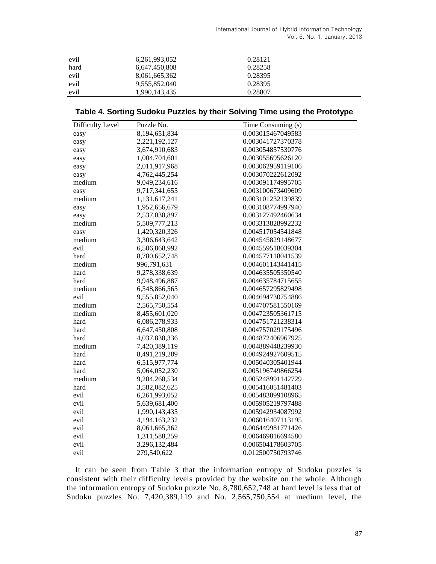International Journal of Hybrid Information Technology Vol. 6, No. 1, January, 2013

| evil | 6,261,993,052 | 0.28121 |  |
|------|---------------|---------|--|
| hard | 6,647,450,808 | 0.28258 |  |
| evil | 8,061,665,362 | 0.28395 |  |
| evil | 9,555,852,040 | 0.28395 |  |
| evil | 1,990,143,435 | 0.28807 |  |

## **Table 4. Sorting Sudoku Puzzles by their Solving Time using the Prototype**

| Difficulty Level | Puzzle No.                 | Time Consuming (s) |
|------------------|----------------------------|--------------------|
| easy             | $\overline{8,}194,651,834$ | 0.003015467049583  |
| easy             | 2,221,192,127              | 0.003041727370378  |
| easy             | 3,674,910,683              | 0.003054857530776  |
| easy             | 1,004,704,601              | 0.003055695626120  |
| easy             | 2,011,917,968              | 0.003062959119106  |
| easy             | 4,762,445,254              | 0.003070222612092  |
| medium           | 9,049,234,616              | 0.003091174995705  |
| easy             | 9,717,341,655              | 0.003100673409609  |
| medium           | 1,131,617,241              | 0.003101232139839  |
| easy             | 1,952,656,679              | 0.003108774997940  |
| easy             | 2,537,030,897              | 0.003127492460634  |
| medium           | 5,509,777,213              | 0.003313828992232  |
| easy             | 1,420,320,326              | 0.004517054541848  |
| medium           | 3,306,643,642              | 0.004545829148677  |
| evil             | 6,506,868,992              | 0.004559518039304  |
| hard             | 8,780,652,748              | 0.004577118041539  |
| medium           | 996,791,631                | 0.004601143441415  |
| hard             | 9,278,338,639              | 0.004635505350540  |
| hard             | 9,948,496,887              | 0.004635784715655  |
| medium           | 6,548,866,565              | 0.004657295829498  |
| evil             | 9,555,852,040              | 0.004694730754886  |
| medium           | 2,565,750,554              | 0.004707581550169  |
| medium           | 8,455,601,020              | 0.004723505361715  |
| hard             | 6,086,278,933              | 0.004751721238314  |
| hard             | 6,647,450,808              | 0.004757029175496  |
| hard             | 4,037,830,336              | 0.004872406967925  |
| medium           | 7,420,389,119              | 0.004889448239930  |
| hard             | 8,491,219,209              | 0.004924927609515  |
| hard             | 6,515,977,774              | 0.005040305401944  |
| hard             | 5,064,052,230              | 0.005196749866254  |
| medium           | 9,204,260,534              | 0.005248991142729  |
| hard             | 3,582,082,625              | 0.005416051481403  |
| evil             | 6,261,993,052              | 0.005483099108965  |
| evil             | 5,639,681,400              | 0.005905219797488  |
| evil             | 1,990,143,435              | 0.005942934087992  |
| evil             | 4,194,163,232              | 0.006016407113195  |
| evil             | 8,061,665,362              | 0.006449981771426  |
| evil             | 1,311,588,259              | 0.006469816694580  |
| evil             | 3,296,132,484              | 0.006504178603705  |
| evil             | 279,540,622                | 0.012500750793746  |

It can be seen from Table 3 that the information entropy of Sudoku puzzles is consistent with their difficulty levels provided by the website on the whole. Although the information entropy of Sudoku puzzle No. 8,780,652,748 at hard level is less that of Sudoku puzzles No. 7,420,389,119 and No. 2,565,750,554 at medium level, the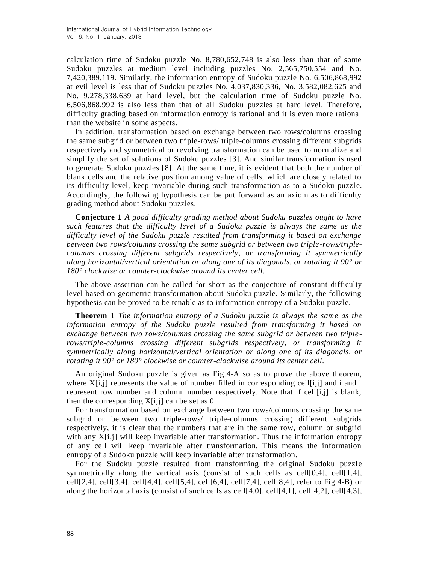calculation time of Sudoku puzzle No. 8,780,652,748 is also less than that of some Sudoku puzzles at medium level including puzzles No. 2,565,750,554 and No. 7,420,389,119. Similarly, the information entropy of Sudoku puzzle No. 6,506,868,992 at evil level is less that of Sudoku puzzles No. 4,037,830,336, No. 3,582,082,625 and No. 9,278,338,639 at hard level, but the calculation time of Sudoku puzzle No. 6,506,868,992 is also less than that of all Sudoku puzzles at hard level. Therefore, difficulty grading based on information entropy is rational and it is even more rational than the website in some aspects.

In addition, transformation based on exchange between two rows/columns crossing the same subgrid or between two triple-rows/ triple-columns crossing different subgrids respectively and symmetrical or revolving transformation can be used to normalize and simplify the set of solutions of Sudoku puzzles [3]. And similar transformation is used to generate Sudoku puzzles [8]. At the same time, it is evident that both the number of blank cells and the relative position among value of cells, which are closely related to its difficulty level, keep invariable during such transformation as to a Sudoku puzzle. Accordingly, the following hypothesis can be put forward as an axiom as to difficulty grading method about Sudoku puzzles.

**Conjecture 1** *A good difficulty grading method about Sudoku puzzles ought to have such features that the difficulty level of a Sudoku puzzle is always the same as the difficulty level of the Sudoku puzzle resulted from transforming it based on exchange between two rows/columns crossing the same subgrid or between two triple-rows/triplecolumns crossing different subgrids respectively, or transforming it symmetrically along horizontal/vertical orientation or along one of its diagonals, or rotating it 90°or 180° clockwise or counter-clockwise around its center cell.*

The above assertion can be called for short as the conjecture of constant difficulty level based on geometric transformation about Sudoku puzzle. Similarly, the following hypothesis can be proved to be tenable as to information entropy of a Sudoku puzzle.

**Theorem 1** *The information entropy of a Sudoku puzzle is always the same as the information entropy of the Sudoku puzzle resulted from transforming it based on exchange between two rows/columns crossing the same subgrid or between two triplerows/triple-columns crossing different subgrids respectively, or transforming it symmetrically along horizontal/vertical orientation or along one of its diagonals, or rotating it 90°or 180° clockwise or counter-clockwise around its center cell.*

An original Sudoku puzzle is given as Fig.4-A so as to prove the above theorem, where  $X[i,j]$  represents the value of number filled in corresponding cell[i,j] and i and j represent row number and column number respectively. Note that if cell[i,j] is blank, then the corresponding  $X[i,j]$  can be set as 0.

For transformation based on exchange between two rows/columns crossing the same subgrid or between two triple-rows/ triple-columns crossing different subgrids respectively, it is clear that the numbers that are in the same row, column or subgrid with any  $X[i,j]$  will keep invariable after transformation. Thus the information entropy of any cell will keep invariable after transformation. This means the information entropy of a Sudoku puzzle will keep invariable after transformation.

For the Sudoku puzzle resulted from transforming the original Sudoku puzzle symmetrically along the vertical axis (consist of such cells as cell[0,4], cell[1,4], cell[2,4], cell[3,4], cell[4,4], cell[5,4], cell[6,4], cell[7,4], cell[8,4], refer to Fig.4-B) or along the horizontal axis (consist of such cells as cell[4,0], cell[4,1], cell[4,2], cell[4,3],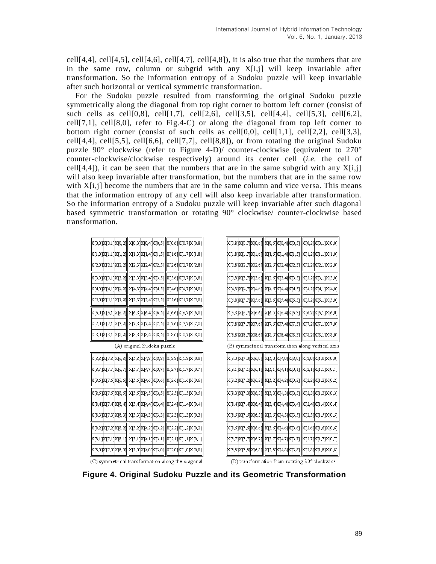cell[4,4], cell[4,5], cell[4,6], cell[4,7], cell[4,8]), it is also true that the numbers that are in the same row, column or subgrid with any  $X[i,j]$  will keep invariable after transformation. So the information entropy of a Sudoku puzzle will keep invariable after such horizontal or vertical symmetric transformation.

For the Sudoku puzzle resulted from transforming the original Sudoku puzzle symmetrically along the diagonal from top right corner to bottom left corner (consist of such cells as cell[0,8], cell[1,7], cell[2,6], cell[3,5], cell[4,4], cell[5,3], cell[6,2],  $cell[7,1]$ ,  $cell[8,0]$ , refer to Fig.4-C) or along the diagonal from top left corner to bottom right corner (consist of such cells as cell[0,0], cell[1,1], cell[2,2], cell[3,3], cell[4,4], cell[5,5], cell[6,6], cell[7,7], cell[8,8]), or from rotating the original Sudoku puzzle 90 $\degree$  clockwise (refer to Figure 4-D)/ counter-clockwise (equivalent to 270 $\degree$ counter-clockwise/clockwise respectively) around its center cell (*i.e.* the cell of cell[4,4]), it can be seen that the numbers that are in the same subgrid with any  $X[i,j]$ will also keep invariable after transformation, but the numbers that are in the same row with X[i,j] become the numbers that are in the same column and vice versa. This means that the information entropy of any cell will also keep invariable after transformation. So the information entropy of a Sudoku puzzle will keep invariable after such diagonal based symmetric transformation or rotating 90° clockwise/ counter-clockwise based transformation.

|  |                    | kp;0,0]kp;1]kp;2]  kp;3]kp;4]kp;5]  kp;6]kp;7]kp;3]                |                                      |  |  |
|--|--------------------|--------------------------------------------------------------------|--------------------------------------|--|--|
|  |                    | X[1,0] X[1,1] X[1,2]  X[1,3] X[1,4] X[1,5]  X[1,6] X[1,7] X[1,8]   |                                      |  |  |
|  |                    | X[2,0] X[2,1] X[2,2]  X[2,3] X[2,4] X[2,5]   X[2,6] X[2,7] X[2,8]  |                                      |  |  |
|  |                    | X[3,0] X[3,1] X[3,2]  X[3,3] X[3,4] X[3,5]   X[3,6] X[3,7] X[3,8]  |                                      |  |  |
|  |                    | X[4,0] X[4,1] X[4,2]  X[4,3] X[4,4] X[4,5]   X[4,6] X[4,7] X[4,8]  |                                      |  |  |
|  |                    | X[5,0] X[5,1] X[5,2]  X[5,3] X[5,4] X[5,5]  X[5,6] X[5,7] X[5,8]   |                                      |  |  |
|  |                    | X[6,0] X[6,1] X[6,2]  X[6,3] X[6,4] X[6,5]   X[6,6] X[6,7] X[6,8]  |                                      |  |  |
|  | K[7,0]K[7,1]K[7,2] |                                                                    | [2,7]K[7,4]K[7,5][K[7,6]K[7,7]K[7,8] |  |  |
|  |                    | X[3,0] X[3,1] X[3,2]  X[3,3] X[3,4] X[3,5]  X[3,6] X[3,7] X[3,3]   |                                      |  |  |
|  |                    | (A) original Sudoku puzzle                                         |                                      |  |  |
|  |                    | X[8,8] X[7,8] X[6,8]  X[5,8] X[4,8] X[3,8]  X[2,8] X[1,8] X[0,8]   |                                      |  |  |
|  |                    | X[8,7] X[7,7] X[6,7]  X[5,7] X[4,7] X[3,7]  X[2,7] X[1,7] X[0,7]   |                                      |  |  |
|  |                    | X[3,6] X[7,6] X[6,6]  X[5,6] X[4,6] X[3,6]   X[2,6] X[1,6] X[0,6]  |                                      |  |  |
|  |                    | k[8,5]k[7,5]k[6,5]  k[5,5]k[4,5]k[3,5]  k[2,5]k[1,5]k[0,5]         |                                      |  |  |
|  |                    | X[8,4] X[7,4] X[6,4]  X[5,4] X[4,4] X[3,4]  X[2,4] X[1,4] X[0,4]   |                                      |  |  |
|  |                    | X[8,3] X[7,3] X[6,3]   X[5,3] X[4,3] X[3,3]   X[2,3] X[1,3] X[0,3] |                                      |  |  |
|  |                    |                                                                    |                                      |  |  |

|                    |                       | x[0,8] x[0,7] x[0,6]  k[0,5] x[0,4] x[0,3]  x[0,2] x[0,1] x[0,0] |                      |                                                                    |  |
|--------------------|-----------------------|------------------------------------------------------------------|----------------------|--------------------------------------------------------------------|--|
|                    | X[1,8] X[1,7] X[1,6]  |                                                                  | X[1,5] X[1,4] X[1,3] | [X[1,2] X[1,1] X[1,0]                                              |  |
|                    | 2,8   2,7   2,7   2,6 |                                                                  | X[2,5] X[2,4] X[2,3] | X[2,2]X[2,1]X[2,0]                                                 |  |
|                    | X[3,8]X[3,7]X[3,6]    |                                                                  | X[3,5] X[3,4] X[3,3] | X[3,2] X[3,1] X[3,0]                                               |  |
|                    | X[4,8] X[4,7] X[4,6]  |                                                                  | X[4,5] X[4,4] X[4,3] | XT4,21 XT4,1 1 XT4,01                                              |  |
|                    | X[5,8] X[5,7] X[5,6]  |                                                                  |                      | 0,23]  2,33]  X[3,33] [X[3,23] X[3,13]                             |  |
|                    |                       |                                                                  |                      | X[6,8] X[6,7] X[6,6]   X[6,5] X[6,4] X[6,3]   X[6,2] X[6,1] X[6,0] |  |
|                    |                       |                                                                  |                      | [0, px[7,7][x[7,6]] [x[7,5][x[7,4][x[7,3]] [[x[7,2][x[7,1][x[7,0][ |  |
|                    |                       |                                                                  |                      | 0,8] x[8,7] x[8,6] [ x[8,5] x[8,4] x[8,3] [ x[8,2] x[8,1] x[8,0]   |  |
|                    |                       |                                                                  |                      | (B) symmetrical transformation along vertical axis                 |  |
|                    |                       |                                                                  |                      | x[3,0]k[7,0]k[6,0]  k[5,0]k[4,0]k[3,0]  k[2,0]k[1,0]k[0,0]         |  |
|                    |                       |                                                                  |                      | x[8,1] x[7,1] x[6,1]   x[5,1] x[4,1] x[3,1]  x[2,1] x[1,1] x[0,1]  |  |
|                    | X[8,2] X[7,2] X[6,2]  |                                                                  | X[5,2] X[4,2] X[3,2] | (2,2)X[1,2]X[0,2]                                                  |  |
|                    |                       |                                                                  |                      | X[8,3] X[7,3] X[6,3]   X[5,3] X[4,3] X[3,3]  X[2,3] X[1,3] X[0,3]  |  |
|                    | X[8,4]X[7,4]X[6,4]    |                                                                  | X[5,4] X[4,4] X[3,4] | X[2,4]X[1,4]X[0,4]                                                 |  |
|                    | 7,8,5] X[7,5] X[6,5]  | X[5,5] X[4,5] X[3,5]                                             |                      | X[2,5] X[1,5] X[0,5]                                               |  |
|                    |                       |                                                                  |                      | X[3,6] X[7,6] X[6,6]  X[5,6] X[4,6] X[3,6]  X[2,6] X[1,6] X[0,6]   |  |
|                    | [7,7]X[7,7]X[6,7      |                                                                  | X[5,7]X[4,7]X[3,7]   | X[2,7] X[1,7] X[0,7]                                               |  |
| X[8,8]X[7,8]X[6,8] |                       |                                                                  | X[5,8] X[4,8] X[3,8] | X[2,8] X[1,8] X[0,8]                                               |  |

(C) symmetrical transformation along the diagonal

xrs m

KT2.1

XT1.11|XM.

CT6.11

ik:17.01k:16.01

(D) transformation from rotating 90° clockwise

**Figure 4. Original Sudoku Puzzle and its Geometric Transformation**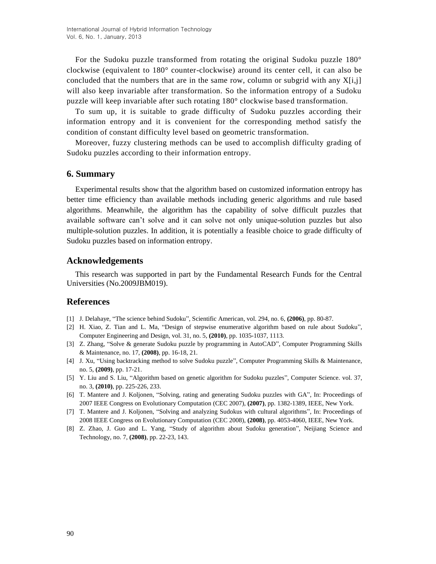For the Sudoku puzzle transformed from rotating the original Sudoku puzzle 180° clockwise (equivalent to 180° counter-clockwise) around its center cell, it can also be concluded that the numbers that are in the same row, column or subgrid with any  $X[i,j]$ will also keep invariable after transformation. So the information entropy of a Sudoku puzzle will keep invariable after such rotating 180° clockwise based transformation.

To sum up, it is suitable to grade difficulty of Sudoku puzzles according their information entropy and it is convenient for the corresponding method satisfy the condition of constant difficulty level based on geometric transformation.

Moreover, fuzzy clustering methods can be used to accomplish difficulty grading of Sudoku puzzles according to their information entropy.

### **6. Summary**

Experimental results show that the algorithm based on customized information entropy has better time efficiency than available methods including generic algorithms and rule based algorithms. Meanwhile, the algorithm has the capability of solve difficult puzzles that available software can't solve and it can solve not only unique-solution puzzles but also multiple-solution puzzles. In addition, it is potentially a feasible choice to grade difficulty of Sudoku puzzles based on information entropy.

### **Acknowledgements**

This research was supported in part by the Fundamental Research Funds for the Central Universities (No.2009JBM019).

## **References**

- [1] J. Delahaye, "The science behind Sudoku", Scientific American, vol. 294, no. 6, **(2006)**, pp. 80-87.
- [2] H. Xiao, Z. Tian and L. Ma, "Design of stepwise enumerative algorithm based on rule about Sudoku", Computer Engineering and Design, vol. 31, no. 5, **(2010)**, pp. 1035-1037, 1113.
- [3] Z. Zhang, "Solve & generate Sudoku puzzle by programming in AutoCAD", Computer Programming Skills & Maintenance, no. 17, **(2008)**, pp. 16-18, 21.
- [4] J. Xu, "Using backtracking method to solve Sudoku puzzle", Computer Programming Skills & Maintenance, no. 5, **(2009)**, pp. 17-21.
- [5] Y. Liu and S. Liu, "Algorithm based on genetic algorithm for Sudoku puzzles", Computer Science. vol. 37, no. 3, **(2010)**, pp. 225-226, 233.
- [6] T. Mantere and J. Koljonen, "Solving, rating and generating Sudoku puzzles with GA", In: Proceedings of 2007 IEEE Congress on Evolutionary Computation (CEC 2007), **(2007)**, pp. 1382-1389, IEEE, New York.
- [7] T. Mantere and J. Koljonen, "Solving and analyzing Sudokus with cultural algorithms", In: Proceedings of 2008 IEEE Congress on Evolutionary Computation (CEC 2008), **(2008)**, pp. 4053-4060, IEEE, New York.
- [8] Z. Zhao, J. Guo and L. Yang, "Study of algorithm about Sudoku generation", Neijiang Science and Technology, no. 7, **(2008)**, pp. 22-23, 143.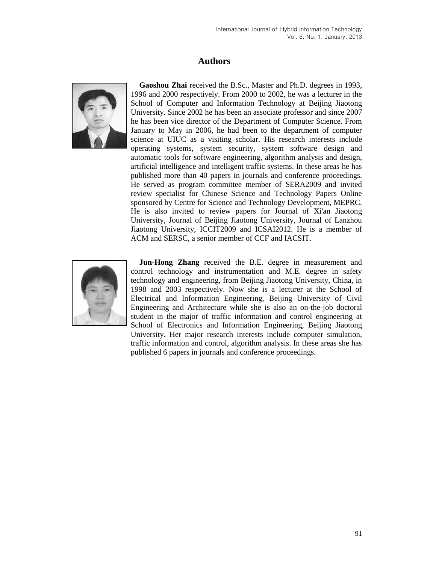## **Authors**



**Gaoshou Zhai** received the B.Sc., Master and Ph.D. degrees in 1993, 1996 and 2000 respectively. From 2000 to 2002, he was a lecturer in the School of Computer and Information Technology at Beijing Jiaotong University. Since 2002 he has been an associate professor and since 2007 he has been vice director of the Department of Computer Science. From January to May in 2006, he had been to the department of computer science at UIUC as a visiting scholar. His research interests include operating systems, system security, system software design and automatic tools for software engineering, algorithm analysis and design, artificial intelligence and intelligent traffic systems. In these areas he has published more than 40 papers in journals and conference proceedings. He served as program committee member of SERA2009 and invited review specialist for Chinese Science and Technology Papers Online sponsored by Centre for Science and Technology Development, MEPRC. He is also invited to review papers for Journal of Xi'an Jiaotong University, Journal of Beijing Jiaotong University, Journal of Lanzhou Jiaotong University, ICCIT2009 and ICSAI2012. He is a member of ACM and SERSC, a senior member of CCF and IACSIT.



**Jun-Hong Zhang** received the B.E. degree in measurement and control technology and instrumentation and M.E. degree in safety technology and engineering, from Beijing Jiaotong University, China, in 1998 and 2003 respectively. Now she is a lecturer at the School of Electrical and Information Engineering, Beijing University of Civil Engineering and Architecture while she is also an on-the-job doctoral student in the major of traffic information and control engineering at School of Electronics and Information Engineering, Beijing Jiaotong University. Her major research interests include computer simulation, traffic information and control, algorithm analysis. In these areas she has published 6 papers in journals and conference proceedings.